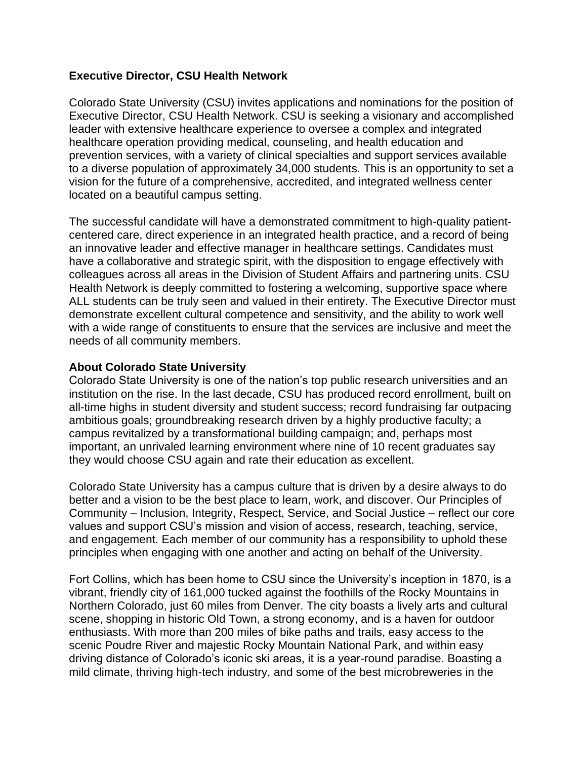## **Executive Director, CSU Health Network**

Colorado State University (CSU) invites applications and nominations for the position of Executive Director, CSU Health Network. CSU is seeking a visionary and accomplished leader with extensive healthcare experience to oversee a complex and integrated healthcare operation providing medical, counseling, and health education and prevention services, with a variety of clinical specialties and support services available to a diverse population of approximately 34,000 students. This is an opportunity to set a vision for the future of a comprehensive, accredited, and integrated wellness center located on a beautiful campus setting.

The successful candidate will have a demonstrated commitment to high-quality patientcentered care, direct experience in an integrated health practice, and a record of being an innovative leader and effective manager in healthcare settings. Candidates must have a collaborative and strategic spirit, with the disposition to engage effectively with colleagues across all areas in the Division of Student Affairs and partnering units. CSU Health Network is deeply committed to fostering a welcoming, supportive space where ALL students can be truly seen and valued in their entirety. The Executive Director must demonstrate excellent cultural competence and sensitivity, and the ability to work well with a wide range of constituents to ensure that the services are inclusive and meet the needs of all community members.

### **About Colorado State University**

Colorado State University is one of the nation's top public research universities and an institution on the rise. In the last decade, CSU has produced record enrollment, built on all-time highs in student diversity and student success; record fundraising far outpacing ambitious goals; groundbreaking research driven by a highly productive faculty; a campus revitalized by a transformational building campaign; and, perhaps most important, an unrivaled learning environment where nine of 10 recent graduates say they would choose CSU again and rate their education as excellent.

Colorado State University has a campus culture that is driven by a desire always to do better and a vision to be the best place to learn, work, and discover. Our Principles of Community – Inclusion, Integrity, Respect, Service, and Social Justice – reflect our core values and support CSU's mission and vision of access, research, teaching, service, and engagement. Each member of our community has a responsibility to uphold these principles when engaging with one another and acting on behalf of the University.

Fort Collins, which has been home to CSU since the University's inception in 1870, is a vibrant, friendly city of 161,000 tucked against the foothills of the Rocky Mountains in Northern Colorado, just 60 miles from Denver. The city boasts a lively arts and cultural scene, shopping in historic Old Town, a strong economy, and is a haven for outdoor enthusiasts. With more than 200 miles of bike paths and trails, easy access to the scenic Poudre River and majestic Rocky Mountain National Park, and within easy driving distance of Colorado's iconic ski areas, it is a year-round paradise. Boasting a mild climate, thriving high-tech industry, and some of the best microbreweries in the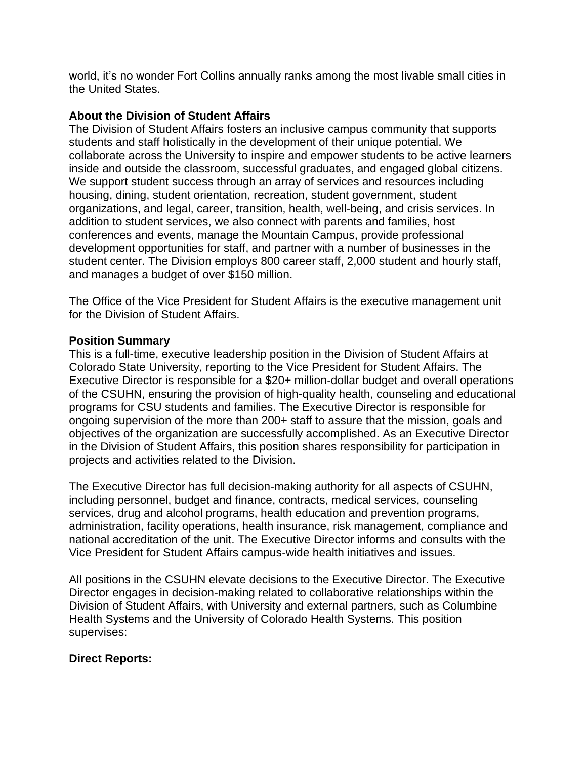world, it's no wonder Fort Collins annually ranks among the most livable small cities in the United States.

## **About the Division of Student Affairs**

The Division of Student Affairs fosters an inclusive campus community that supports students and staff holistically in the development of their unique potential. We collaborate across the University to inspire and empower students to be active learners inside and outside the classroom, successful graduates, and engaged global citizens. We support student success through an array of services and resources including housing, dining, student orientation, recreation, student government, student organizations, and legal, career, transition, health, well-being, and crisis services. In addition to student services, we also connect with parents and families, host conferences and events, manage the Mountain Campus, provide professional development opportunities for staff, and partner with a number of businesses in the student center. The Division employs 800 career staff, 2,000 student and hourly staff, and manages a budget of over \$150 million.

The Office of the Vice President for Student Affairs is the executive management unit for the Division of Student Affairs.

### **Position Summary**

This is a full-time, executive leadership position in the Division of Student Affairs at Colorado State University, reporting to the Vice President for Student Affairs. The Executive Director is responsible for a \$20+ million-dollar budget and overall operations of the CSUHN, ensuring the provision of high-quality health, counseling and educational programs for CSU students and families. The Executive Director is responsible for ongoing supervision of the more than 200+ staff to assure that the mission, goals and objectives of the organization are successfully accomplished. As an Executive Director in the Division of Student Affairs, this position shares responsibility for participation in projects and activities related to the Division.

The Executive Director has full decision-making authority for all aspects of CSUHN, including personnel, budget and finance, contracts, medical services, counseling services, drug and alcohol programs, health education and prevention programs, administration, facility operations, health insurance, risk management, compliance and national accreditation of the unit. The Executive Director informs and consults with the Vice President for Student Affairs campus-wide health initiatives and issues.

All positions in the CSUHN elevate decisions to the Executive Director. The Executive Director engages in decision-making related to collaborative relationships within the Division of Student Affairs, with University and external partners, such as Columbine Health Systems and the University of Colorado Health Systems. This position supervises:

# **Direct Reports:**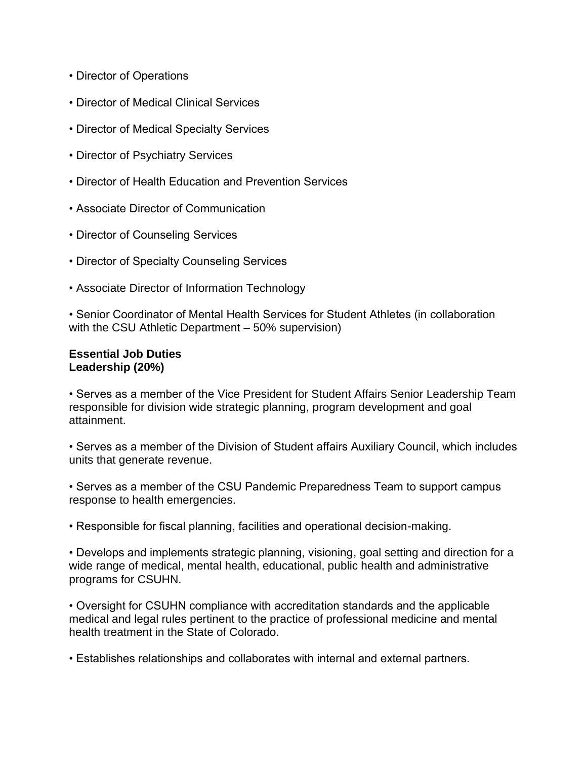- Director of Operations
- Director of Medical Clinical Services
- Director of Medical Specialty Services
- Director of Psychiatry Services
- Director of Health Education and Prevention Services
- Associate Director of Communication
- Director of Counseling Services
- Director of Specialty Counseling Services
- Associate Director of Information Technology

• Senior Coordinator of Mental Health Services for Student Athletes (in collaboration with the CSU Athletic Department – 50% supervision)

### **Essential Job Duties Leadership (20%)**

• Serves as a member of the Vice President for Student Affairs Senior Leadership Team responsible for division wide strategic planning, program development and goal attainment.

• Serves as a member of the Division of Student affairs Auxiliary Council, which includes units that generate revenue.

• Serves as a member of the CSU Pandemic Preparedness Team to support campus response to health emergencies.

• Responsible for fiscal planning, facilities and operational decision-making.

• Develops and implements strategic planning, visioning, goal setting and direction for a wide range of medical, mental health, educational, public health and administrative programs for CSUHN.

• Oversight for CSUHN compliance with accreditation standards and the applicable medical and legal rules pertinent to the practice of professional medicine and mental health treatment in the State of Colorado.

• Establishes relationships and collaborates with internal and external partners.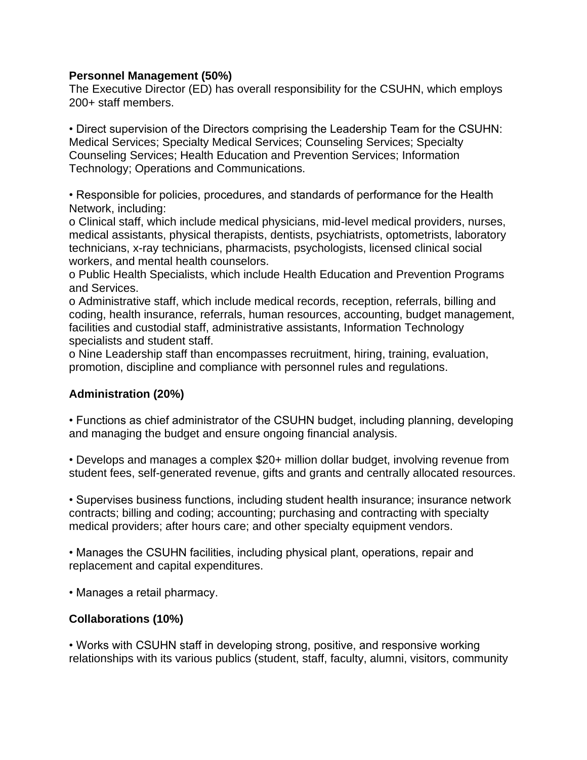### **Personnel Management (50%)**

The Executive Director (ED) has overall responsibility for the CSUHN, which employs 200+ staff members.

• Direct supervision of the Directors comprising the Leadership Team for the CSUHN: Medical Services; Specialty Medical Services; Counseling Services; Specialty Counseling Services; Health Education and Prevention Services; Information Technology; Operations and Communications.

• Responsible for policies, procedures, and standards of performance for the Health Network, including:

o Clinical staff, which include medical physicians, mid-level medical providers, nurses, medical assistants, physical therapists, dentists, psychiatrists, optometrists, laboratory technicians, x-ray technicians, pharmacists, psychologists, licensed clinical social workers, and mental health counselors.

o Public Health Specialists, which include Health Education and Prevention Programs and Services.

o Administrative staff, which include medical records, reception, referrals, billing and coding, health insurance, referrals, human resources, accounting, budget management, facilities and custodial staff, administrative assistants, Information Technology specialists and student staff.

o Nine Leadership staff than encompasses recruitment, hiring, training, evaluation, promotion, discipline and compliance with personnel rules and regulations.

### **Administration (20%)**

• Functions as chief administrator of the CSUHN budget, including planning, developing and managing the budget and ensure ongoing financial analysis.

• Develops and manages a complex \$20+ million dollar budget, involving revenue from student fees, self-generated revenue, gifts and grants and centrally allocated resources.

• Supervises business functions, including student health insurance; insurance network contracts; billing and coding; accounting; purchasing and contracting with specialty medical providers; after hours care; and other specialty equipment vendors.

• Manages the CSUHN facilities, including physical plant, operations, repair and replacement and capital expenditures.

• Manages a retail pharmacy.

# **Collaborations (10%)**

• Works with CSUHN staff in developing strong, positive, and responsive working relationships with its various publics (student, staff, faculty, alumni, visitors, community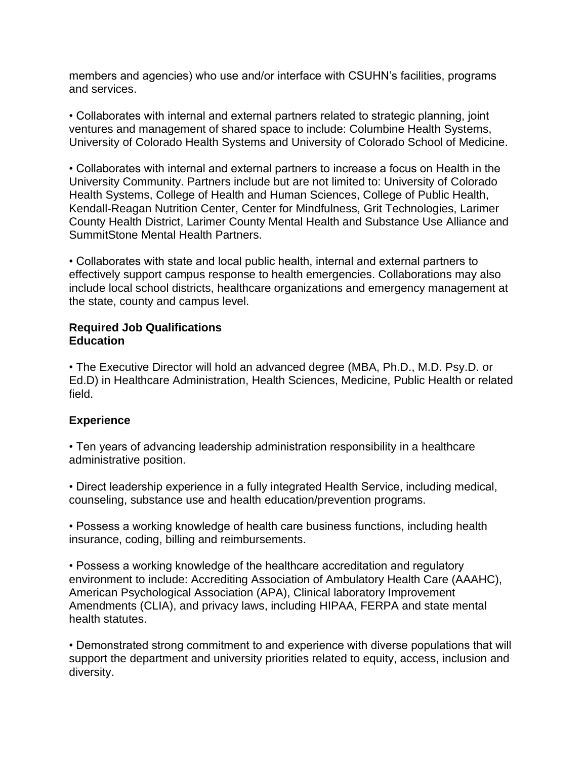members and agencies) who use and/or interface with CSUHN's facilities, programs and services.

• Collaborates with internal and external partners related to strategic planning, joint ventures and management of shared space to include: Columbine Health Systems, University of Colorado Health Systems and University of Colorado School of Medicine.

• Collaborates with internal and external partners to increase a focus on Health in the University Community. Partners include but are not limited to: University of Colorado Health Systems, College of Health and Human Sciences, College of Public Health, Kendall-Reagan Nutrition Center, Center for Mindfulness, Grit Technologies, Larimer County Health District, Larimer County Mental Health and Substance Use Alliance and SummitStone Mental Health Partners.

• Collaborates with state and local public health, internal and external partners to effectively support campus response to health emergencies. Collaborations may also include local school districts, healthcare organizations and emergency management at the state, county and campus level.

#### **Required Job Qualifications Education**

• The Executive Director will hold an advanced degree (MBA, Ph.D., M.D. Psy.D. or Ed.D) in Healthcare Administration, Health Sciences, Medicine, Public Health or related field.

# **Experience**

• Ten years of advancing leadership administration responsibility in a healthcare administrative position.

• Direct leadership experience in a fully integrated Health Service, including medical, counseling, substance use and health education/prevention programs.

• Possess a working knowledge of health care business functions, including health insurance, coding, billing and reimbursements.

• Possess a working knowledge of the healthcare accreditation and regulatory environment to include: Accrediting Association of Ambulatory Health Care (AAAHC), American Psychological Association (APA), Clinical laboratory Improvement Amendments (CLIA), and privacy laws, including HIPAA, FERPA and state mental health statutes.

• Demonstrated strong commitment to and experience with diverse populations that will support the department and university priorities related to equity, access, inclusion and diversity.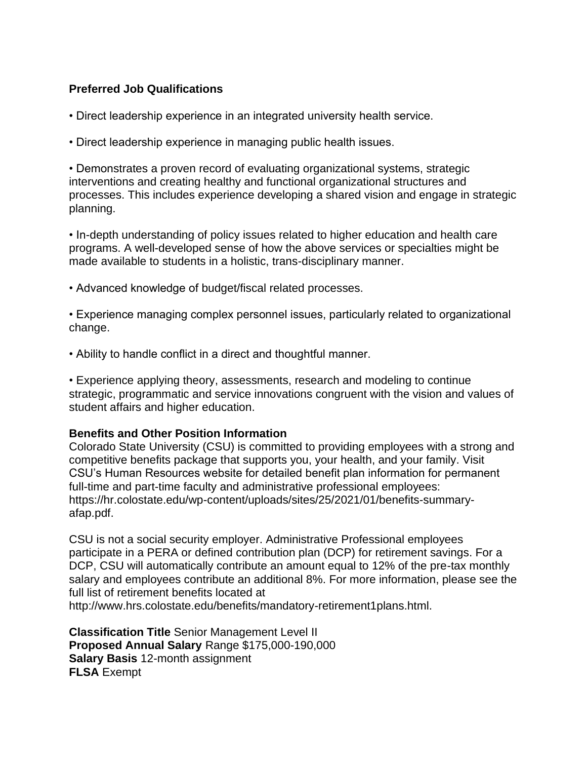# **Preferred Job Qualifications**

- Direct leadership experience in an integrated university health service.
- Direct leadership experience in managing public health issues.

• Demonstrates a proven record of evaluating organizational systems, strategic interventions and creating healthy and functional organizational structures and processes. This includes experience developing a shared vision and engage in strategic planning.

• In-depth understanding of policy issues related to higher education and health care programs. A well-developed sense of how the above services or specialties might be made available to students in a holistic, trans-disciplinary manner.

- Advanced knowledge of budget/fiscal related processes.
- Experience managing complex personnel issues, particularly related to organizational change.
- Ability to handle conflict in a direct and thoughtful manner.

• Experience applying theory, assessments, research and modeling to continue strategic, programmatic and service innovations congruent with the vision and values of student affairs and higher education.

### **Benefits and Other Position Information**

Colorado State University (CSU) is committed to providing employees with a strong and competitive benefits package that supports you, your health, and your family. Visit CSU's Human Resources website for detailed benefit plan information for permanent full-time and part-time faculty and administrative professional employees: https://hr.colostate.edu/wp-content/uploads/sites/25/2021/01/benefits-summaryafap.pdf.

CSU is not a social security employer. Administrative Professional employees participate in a PERA or defined contribution plan (DCP) for retirement savings. For a DCP, CSU will automatically contribute an amount equal to 12% of the pre-tax monthly salary and employees contribute an additional 8%. For more information, please see the full list of retirement benefits located at http://www.hrs.colostate.edu/benefits/mandatory-retirement1plans.html.

**Classification Title** Senior Management Level II **Proposed Annual Salary** Range \$175,000-190,000 **Salary Basis** 12-month assignment **FLSA** Exempt